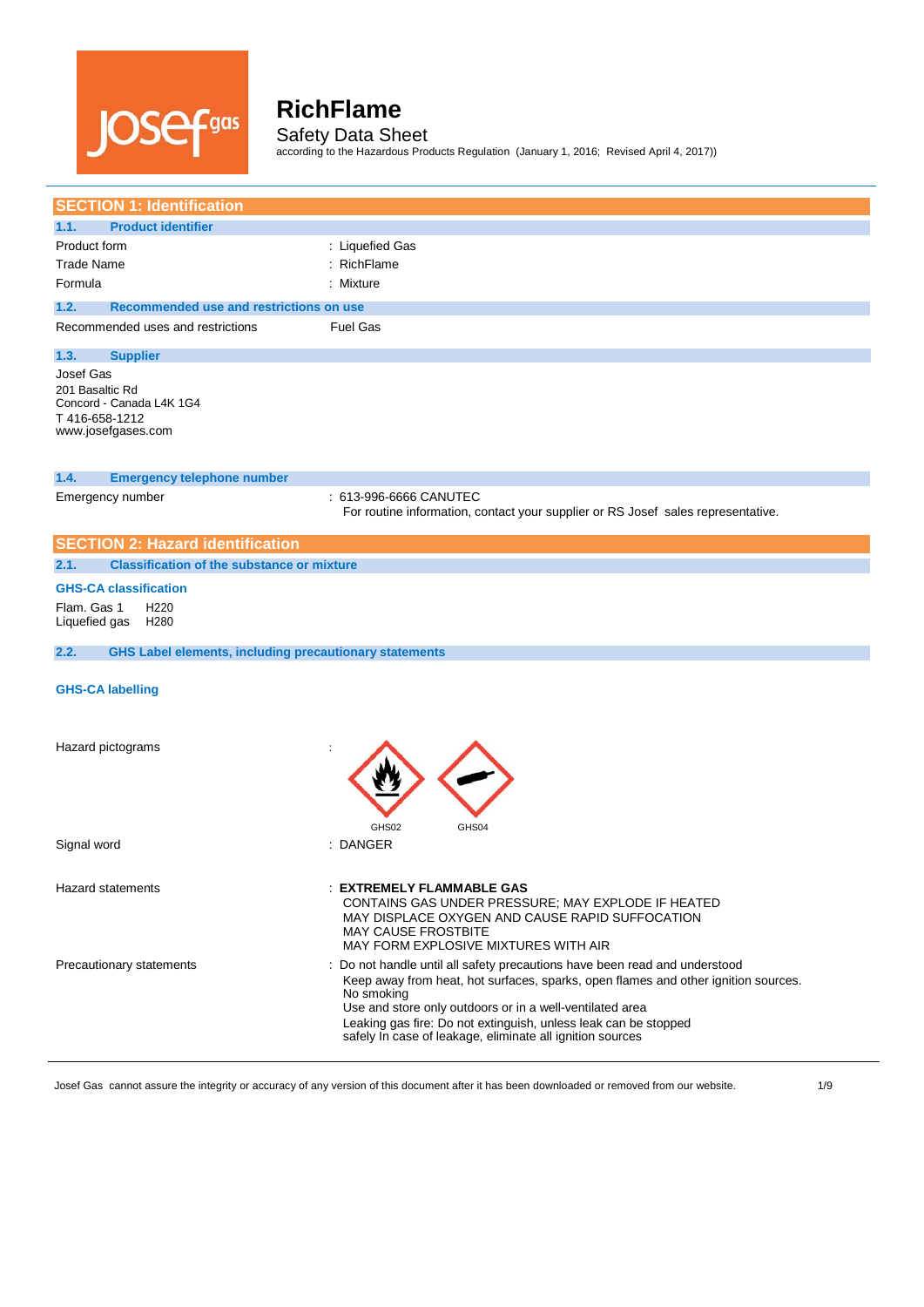

Safety Data Sheet according to the Hazardous Products Regulation (January 1, 2016; Revised April 4, 2017))

| <b>SECTION 1: Identification</b>                                                                |                                                                                                                                                                                                                                                                                                                                                                            |
|-------------------------------------------------------------------------------------------------|----------------------------------------------------------------------------------------------------------------------------------------------------------------------------------------------------------------------------------------------------------------------------------------------------------------------------------------------------------------------------|
| 1.1.<br><b>Product identifier</b>                                                               |                                                                                                                                                                                                                                                                                                                                                                            |
| Product form                                                                                    | : Liquefied Gas                                                                                                                                                                                                                                                                                                                                                            |
| <b>Trade Name</b>                                                                               | RichFlame                                                                                                                                                                                                                                                                                                                                                                  |
| Formula                                                                                         | : Mixture                                                                                                                                                                                                                                                                                                                                                                  |
| 1.2.<br>Recommended use and restrictions on use                                                 |                                                                                                                                                                                                                                                                                                                                                                            |
| Recommended uses and restrictions                                                               | <b>Fuel Gas</b>                                                                                                                                                                                                                                                                                                                                                            |
| 1.3.<br><b>Supplier</b>                                                                         |                                                                                                                                                                                                                                                                                                                                                                            |
| Josef Gas<br>201 Basaltic Rd<br>Concord - Canada L4K 1G4<br>T416-658-1212<br>www.josefgases.com |                                                                                                                                                                                                                                                                                                                                                                            |
| 1.4.<br><b>Emergency telephone number</b>                                                       |                                                                                                                                                                                                                                                                                                                                                                            |
| Emergency number                                                                                | : 613-996-6666 CANUTEC<br>For routine information, contact your supplier or RS Josef sales representative.                                                                                                                                                                                                                                                                 |
| <b>SECTION 2: Hazard identification</b>                                                         |                                                                                                                                                                                                                                                                                                                                                                            |
| <b>Classification of the substance or mixture</b><br>2.1.                                       |                                                                                                                                                                                                                                                                                                                                                                            |
| <b>GHS-CA classification</b>                                                                    |                                                                                                                                                                                                                                                                                                                                                                            |
| Flam. Gas 1<br>H <sub>220</sub><br>Liquefied gas<br>H280                                        |                                                                                                                                                                                                                                                                                                                                                                            |
| <b>GHS Label elements, including precautionary statements</b><br>2.2.                           |                                                                                                                                                                                                                                                                                                                                                                            |
| <b>GHS-CA labelling</b>                                                                         |                                                                                                                                                                                                                                                                                                                                                                            |
| Hazard pictograms                                                                               | GHS02<br>GHS04                                                                                                                                                                                                                                                                                                                                                             |
| Signal word                                                                                     | : DANGER                                                                                                                                                                                                                                                                                                                                                                   |
| Hazard statements                                                                               | <b>EXTREMELY FLAMMABLE GAS</b><br>CONTAINS GAS UNDER PRESSURE; MAY EXPLODE IF HEATED<br>MAY DISPLACE OXYGEN AND CAUSE RAPID SUFFOCATION<br><b>MAY CAUSE FROSTBITE</b><br>MAY FORM EXPLOSIVE MIXTURES WITH AIR                                                                                                                                                              |
| Precautionary statements                                                                        | : Do not handle until all safety precautions have been read and understood<br>Keep away from heat, hot surfaces, sparks, open flames and other ignition sources.<br>No smoking<br>Use and store only outdoors or in a well-ventilated area<br>Leaking gas fire: Do not extinguish, unless leak can be stopped<br>safely In case of leakage, eliminate all ignition sources |

Josef Gas cannot assure the integrity or accuracy of any version of this document after it has been downloaded or removed from our website. 4/9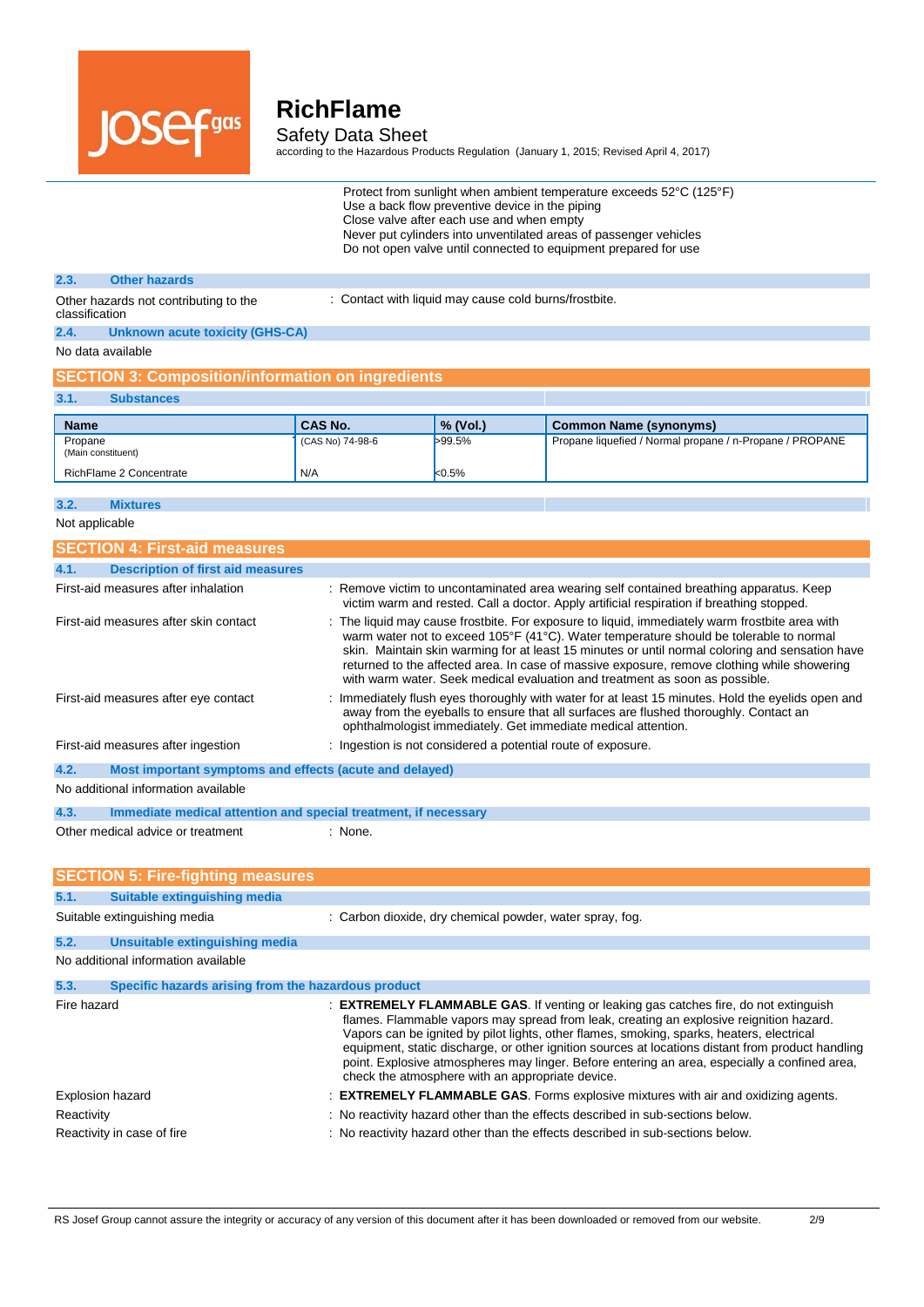

Safety Data Sheet

according to the Hazardous Products Regulation (January 1, 2015; Revised April 4, 2017)

| Protect from sunlight when ambient temperature exceeds 52°C (125°F) |
|---------------------------------------------------------------------|
| Use a back flow preventive device in the piping                     |
| Close valve after each use and when empty                           |
| Never put cylinders into unventilated areas of passenger vehicles   |
| Do not open valve until connected to equipment prepared for use     |

#### **2.3. Other hazards**

: Contact with liquid may cause cold burns/frostbite.

Other hazards not contributing to the classification

**2.4. Unknown acute toxicity (GHS-CA)**

### No data available

### **SECTION 3: Composition/information on ingredients**

| 3.1.        | <b>Substances</b>       |                  |                   |                                                          |
|-------------|-------------------------|------------------|-------------------|----------------------------------------------------------|
| <b>Name</b> |                         | <b>CAS No.</b>   | $\sqrt{2}$ (Vol.) | <b>Common Name (synonyms)</b>                            |
| Propane     | (Main constituent)      | (CAS No) 74-98-6 | >99.5%            | Propane liquefied / Normal propane / n-Propane / PROPANE |
|             | RichFlame 2 Concentrate | N/A              | k0.5%             |                                                          |

### **3.2. Mixtures**

Not applicable

| <b>SECTION 4: First-aid measures</b>                            |                                                                                                                                                                                                                                                                                                                                                                                                                                                                           |  |
|-----------------------------------------------------------------|---------------------------------------------------------------------------------------------------------------------------------------------------------------------------------------------------------------------------------------------------------------------------------------------------------------------------------------------------------------------------------------------------------------------------------------------------------------------------|--|
| <b>Description of first aid measures</b><br>4.1.                |                                                                                                                                                                                                                                                                                                                                                                                                                                                                           |  |
| First-aid measures after inhalation                             | : Remove victim to uncontaminated area wearing self contained breathing apparatus. Keep<br>victim warm and rested. Call a doctor. Apply artificial respiration if breathing stopped.                                                                                                                                                                                                                                                                                      |  |
| First-aid measures after skin contact                           | : The liquid may cause frostbite. For exposure to liquid, immediately warm frostbite area with<br>warm water not to exceed 105°F (41°C). Water temperature should be tolerable to normal<br>skin. Maintain skin warming for at least 15 minutes or until normal coloring and sensation have<br>returned to the affected area. In case of massive exposure, remove clothing while showering<br>with warm water. Seek medical evaluation and treatment as soon as possible. |  |
| First-aid measures after eye contact                            | : Immediately flush eyes thoroughly with water for at least 15 minutes. Hold the eyelids open and<br>away from the eyeballs to ensure that all surfaces are flushed thoroughly. Contact an<br>ophthalmologist immediately. Get immediate medical attention.                                                                                                                                                                                                               |  |
| First-aid measures after ingestion                              | : Ingestion is not considered a potential route of exposure.                                                                                                                                                                                                                                                                                                                                                                                                              |  |
| 4.2.<br>Most important symptoms and effects (acute and delayed) |                                                                                                                                                                                                                                                                                                                                                                                                                                                                           |  |
| No additional information available                             |                                                                                                                                                                                                                                                                                                                                                                                                                                                                           |  |
| 4.3.                                                            | Immediate medical attention and special treatment, if necessary                                                                                                                                                                                                                                                                                                                                                                                                           |  |
| Other medical advice or treatment                               | $:$ None.                                                                                                                                                                                                                                                                                                                                                                                                                                                                 |  |

|                         | <b>SECTION 5: Fire-fighting measures</b>            |                                                                                                                                                                                                                                                                                                                                                                                                                                                                                                                                               |
|-------------------------|-----------------------------------------------------|-----------------------------------------------------------------------------------------------------------------------------------------------------------------------------------------------------------------------------------------------------------------------------------------------------------------------------------------------------------------------------------------------------------------------------------------------------------------------------------------------------------------------------------------------|
| 5.1.                    | Suitable extinguishing media                        |                                                                                                                                                                                                                                                                                                                                                                                                                                                                                                                                               |
|                         | Suitable extinguishing media                        | : Carbon dioxide, dry chemical powder, water spray, fog.                                                                                                                                                                                                                                                                                                                                                                                                                                                                                      |
| 5.2.                    | Unsuitable extinguishing media                      |                                                                                                                                                                                                                                                                                                                                                                                                                                                                                                                                               |
|                         | No additional information available                 |                                                                                                                                                                                                                                                                                                                                                                                                                                                                                                                                               |
| 5.3.                    | Specific hazards arising from the hazardous product |                                                                                                                                                                                                                                                                                                                                                                                                                                                                                                                                               |
| Fire hazard             |                                                     | : <b>EXTREMELY FLAMMABLE GAS.</b> If venting or leaking gas catches fire, do not extinguish<br>flames. Flammable vapors may spread from leak, creating an explosive reignition hazard.<br>Vapors can be ignited by pilot lights, other flames, smoking, sparks, heaters, electrical<br>equipment, static discharge, or other ignition sources at locations distant from product handling<br>point. Explosive atmospheres may linger. Before entering an area, especially a confined area,<br>check the atmosphere with an appropriate device. |
| <b>Explosion hazard</b> |                                                     | : <b>EXTREMELY FLAMMABLE GAS.</b> Forms explosive mixtures with air and oxidizing agents.                                                                                                                                                                                                                                                                                                                                                                                                                                                     |
| Reactivity              |                                                     | : No reactivity hazard other than the effects described in sub-sections below.                                                                                                                                                                                                                                                                                                                                                                                                                                                                |
|                         | Reactivity in case of fire                          | : No reactivity hazard other than the effects described in sub-sections below.                                                                                                                                                                                                                                                                                                                                                                                                                                                                |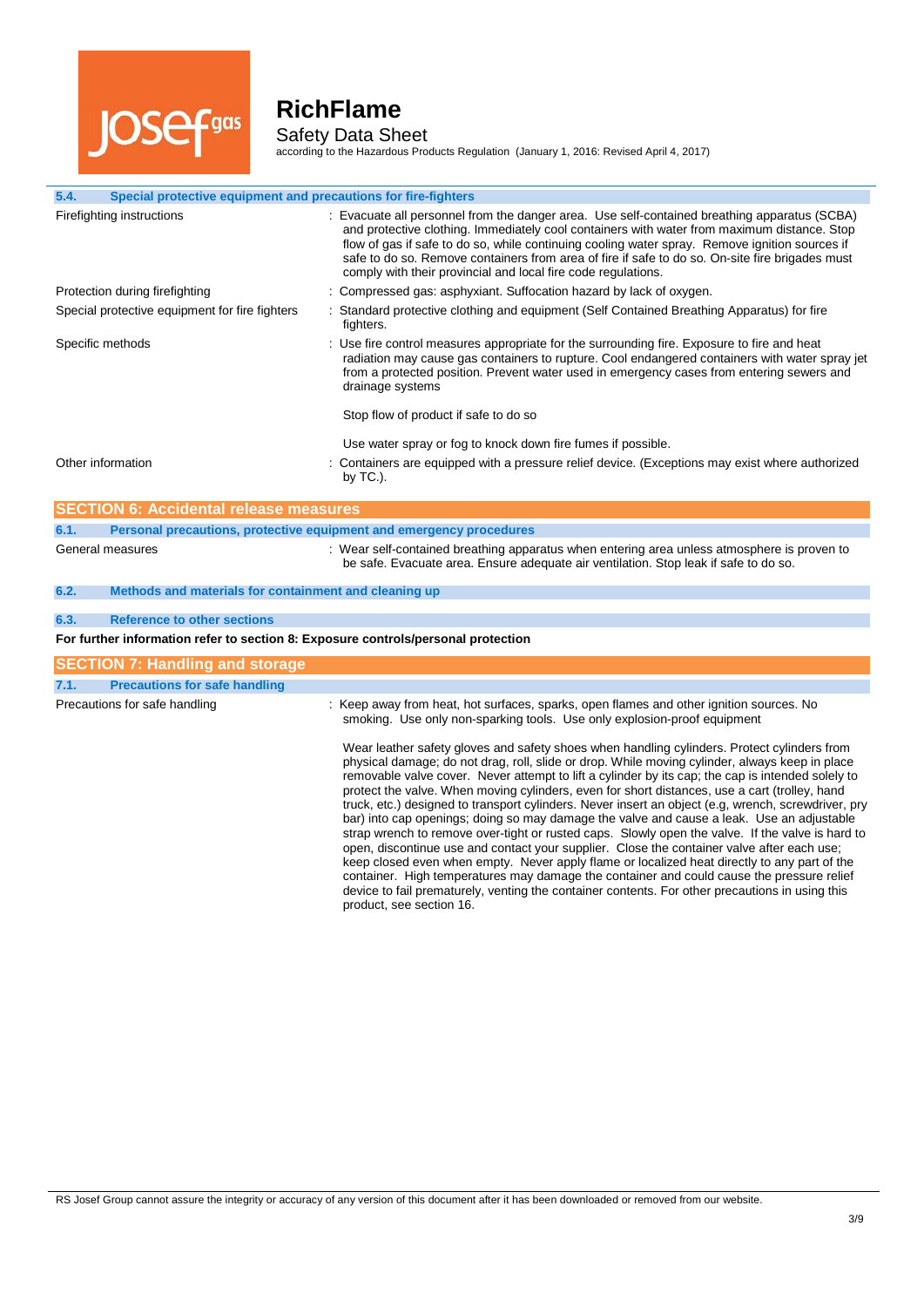

L

# **RichFlame**

Safety Data Sheet

according to the Hazardous Products Regulation (January 1, 2016: Revised April 4, 2017)

| 5.4.<br>Special protective equipment and precautions for fire-fighters            |                                                                                                                                                                                                                                                                                                                                                                                                                                                                                                                                                                                                                                                                                                                                                                                                                                                                                                                                                                                                                                                                                                                                       |  |
|-----------------------------------------------------------------------------------|---------------------------------------------------------------------------------------------------------------------------------------------------------------------------------------------------------------------------------------------------------------------------------------------------------------------------------------------------------------------------------------------------------------------------------------------------------------------------------------------------------------------------------------------------------------------------------------------------------------------------------------------------------------------------------------------------------------------------------------------------------------------------------------------------------------------------------------------------------------------------------------------------------------------------------------------------------------------------------------------------------------------------------------------------------------------------------------------------------------------------------------|--|
| Firefighting instructions                                                         | : Evacuate all personnel from the danger area. Use self-contained breathing apparatus (SCBA)<br>and protective clothing. Immediately cool containers with water from maximum distance. Stop<br>flow of gas if safe to do so, while continuing cooling water spray. Remove ignition sources if<br>safe to do so. Remove containers from area of fire if safe to do so. On-site fire brigades must<br>comply with their provincial and local fire code regulations.                                                                                                                                                                                                                                                                                                                                                                                                                                                                                                                                                                                                                                                                     |  |
| Protection during firefighting                                                    | : Compressed gas: asphyxiant. Suffocation hazard by lack of oxygen.                                                                                                                                                                                                                                                                                                                                                                                                                                                                                                                                                                                                                                                                                                                                                                                                                                                                                                                                                                                                                                                                   |  |
| Special protective equipment for fire fighters                                    | : Standard protective clothing and equipment (Self Contained Breathing Apparatus) for fire<br>fighters.                                                                                                                                                                                                                                                                                                                                                                                                                                                                                                                                                                                                                                                                                                                                                                                                                                                                                                                                                                                                                               |  |
| Specific methods                                                                  | : Use fire control measures appropriate for the surrounding fire. Exposure to fire and heat<br>radiation may cause gas containers to rupture. Cool endangered containers with water spray jet<br>from a protected position. Prevent water used in emergency cases from entering sewers and<br>drainage systems                                                                                                                                                                                                                                                                                                                                                                                                                                                                                                                                                                                                                                                                                                                                                                                                                        |  |
|                                                                                   | Stop flow of product if safe to do so                                                                                                                                                                                                                                                                                                                                                                                                                                                                                                                                                                                                                                                                                                                                                                                                                                                                                                                                                                                                                                                                                                 |  |
|                                                                                   | Use water spray or fog to knock down fire fumes if possible.                                                                                                                                                                                                                                                                                                                                                                                                                                                                                                                                                                                                                                                                                                                                                                                                                                                                                                                                                                                                                                                                          |  |
| Other information                                                                 | : Containers are equipped with a pressure relief device. (Exceptions may exist where authorized<br>by $TC.$ ).                                                                                                                                                                                                                                                                                                                                                                                                                                                                                                                                                                                                                                                                                                                                                                                                                                                                                                                                                                                                                        |  |
| <b>SECTION 6: Accidental release measures</b>                                     |                                                                                                                                                                                                                                                                                                                                                                                                                                                                                                                                                                                                                                                                                                                                                                                                                                                                                                                                                                                                                                                                                                                                       |  |
| 6.1.                                                                              | Personal precautions, protective equipment and emergency procedures                                                                                                                                                                                                                                                                                                                                                                                                                                                                                                                                                                                                                                                                                                                                                                                                                                                                                                                                                                                                                                                                   |  |
| General measures                                                                  | : Wear self-contained breathing apparatus when entering area unless atmosphere is proven to<br>be safe. Evacuate area. Ensure adequate air ventilation. Stop leak if safe to do so.                                                                                                                                                                                                                                                                                                                                                                                                                                                                                                                                                                                                                                                                                                                                                                                                                                                                                                                                                   |  |
| 6.2.<br>Methods and materials for containment and cleaning up                     |                                                                                                                                                                                                                                                                                                                                                                                                                                                                                                                                                                                                                                                                                                                                                                                                                                                                                                                                                                                                                                                                                                                                       |  |
| <b>Reference to other sections</b><br>6.3.                                        |                                                                                                                                                                                                                                                                                                                                                                                                                                                                                                                                                                                                                                                                                                                                                                                                                                                                                                                                                                                                                                                                                                                                       |  |
| For further information refer to section 8: Exposure controls/personal protection |                                                                                                                                                                                                                                                                                                                                                                                                                                                                                                                                                                                                                                                                                                                                                                                                                                                                                                                                                                                                                                                                                                                                       |  |
| <b>SECTION 7: Handling and storage</b>                                            |                                                                                                                                                                                                                                                                                                                                                                                                                                                                                                                                                                                                                                                                                                                                                                                                                                                                                                                                                                                                                                                                                                                                       |  |
| <b>Precautions for safe handling</b><br>7.1.                                      |                                                                                                                                                                                                                                                                                                                                                                                                                                                                                                                                                                                                                                                                                                                                                                                                                                                                                                                                                                                                                                                                                                                                       |  |
| Precautions for safe handling                                                     | : Keep away from heat, hot surfaces, sparks, open flames and other ignition sources. No<br>smoking. Use only non-sparking tools. Use only explosion-proof equipment                                                                                                                                                                                                                                                                                                                                                                                                                                                                                                                                                                                                                                                                                                                                                                                                                                                                                                                                                                   |  |
|                                                                                   | Wear leather safety gloves and safety shoes when handling cylinders. Protect cylinders from<br>physical damage; do not drag, roll, slide or drop. While moving cylinder, always keep in place<br>removable valve cover. Never attempt to lift a cylinder by its cap; the cap is intended solely to<br>protect the valve. When moving cylinders, even for short distances, use a cart (trolley, hand<br>truck, etc.) designed to transport cylinders. Never insert an object (e.g. wrench, screwdriver, pry<br>bar) into cap openings; doing so may damage the valve and cause a leak. Use an adjustable<br>strap wrench to remove over-tight or rusted caps. Slowly open the valve. If the valve is hard to<br>open, discontinue use and contact your supplier. Close the container valve after each use;<br>keep closed even when empty. Never apply flame or localized heat directly to any part of the<br>container. High temperatures may damage the container and could cause the pressure relief<br>device to fail prematurely, venting the container contents. For other precautions in using this<br>product, see section 16. |  |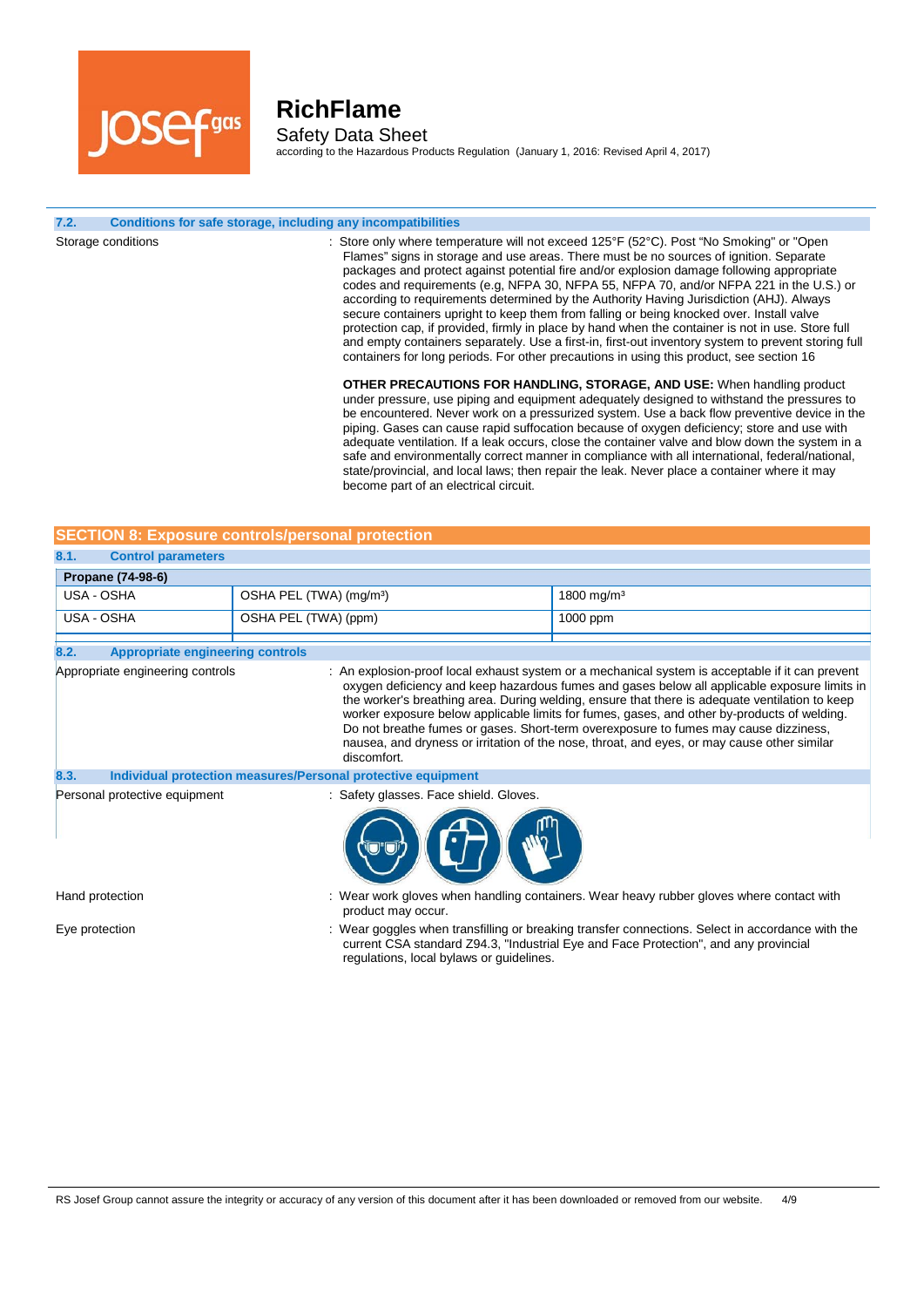

### **RichFlame** Safety Data Sheet

according to the Hazardous Products Regulation (January 1, 2016: Revised April 4, 2017)

#### **7.2. Conditions for safe storage, including any incompatibilities**

Storage conditions **interpretations** : Store only where temperature will not exceed 125°F (52°C). Post "No Smoking" or "Open Flames" signs in storage and use areas. There must be no sources of ignition. Separate packages and protect against potential fire and/or explosion damage following appropriate codes and requirements (e.g, NFPA 30, NFPA 55, NFPA 70, and/or NFPA 221 in the U.S.) or according to requirements determined by the Authority Having Jurisdiction (AHJ). Always secure containers upright to keep them from falling or being knocked over. Install valve protection cap, if provided, firmly in place by hand when the container is not in use. Store full and empty containers separately. Use a first-in, first-out inventory system to prevent storing full containers for long periods. For other precautions in using this product, see section 16 **OTHER PRECAUTIONS FOR HANDLING, STORAGE, AND USE:** When handling product under pressure, use piping and equipment adequately designed to withstand the pressures to be encountered. Never work on a pressurized system. Use a back flow preventive device in the piping. Gases can cause rapid suffocation because of oxygen deficiency; store and use with adequate ventilation. If a leak occurs, close the container valve and blow down the system in a safe and environmentally correct manner in compliance with all international, federal/national,

| <b>SECTION 8: Exposure controls/personal protection</b> |                                     |                        |  |
|---------------------------------------------------------|-------------------------------------|------------------------|--|
| 8.1.<br><b>Control parameters</b>                       |                                     |                        |  |
| <b>Propane (74-98-6)</b>                                |                                     |                        |  |
| USA - OSHA                                              | OSHA PEL (TWA) (mg/m <sup>3</sup> ) | 1800 mg/m <sup>3</sup> |  |
| USA - OSHA                                              | OSHA PEL (TWA) (ppm)                | $1000$ ppm             |  |
|                                                         |                                     |                        |  |

become part of an electrical circuit.

| 8.2. | <b>Appropriate engineering controls</b>                      |                                                                                                                                                                                                                                                                                                                                                                                                                                                                                                                                                                                                         |
|------|--------------------------------------------------------------|---------------------------------------------------------------------------------------------------------------------------------------------------------------------------------------------------------------------------------------------------------------------------------------------------------------------------------------------------------------------------------------------------------------------------------------------------------------------------------------------------------------------------------------------------------------------------------------------------------|
|      | Appropriate engineering controls                             | : An explosion-proof local exhaust system or a mechanical system is acceptable if it can prevent<br>oxygen deficiency and keep hazardous fumes and gases below all applicable exposure limits in<br>the worker's breathing area. During welding, ensure that there is adequate ventilation to keep<br>worker exposure below applicable limits for fumes, gases, and other by-products of welding.<br>Do not breathe fumes or gases. Short-term overexposure to fumes may cause dizziness,<br>nausea, and dryness or irritation of the nose, throat, and eyes, or may cause other similar<br>discomfort. |
| 8.3. | Individual protection measures/Personal protective equipment |                                                                                                                                                                                                                                                                                                                                                                                                                                                                                                                                                                                                         |
|      | Personal protective equipment                                | : Safety glasses. Face shield. Gloves.                                                                                                                                                                                                                                                                                                                                                                                                                                                                                                                                                                  |



Hand protection : Wear work gloves when handling containers. Wear heavy rubber gloves where contact with product may occur.

state/provincial, and local laws; then repair the leak. Never place a container where it may

Eye protection **interprotatal interpretation** : Wear goggles when transfilling or breaking transfer connections. Select in accordance with the current CSA standard Z94.3, "Industrial Eye and Face Protection", and any provincial regulations, local bylaws or guidelines.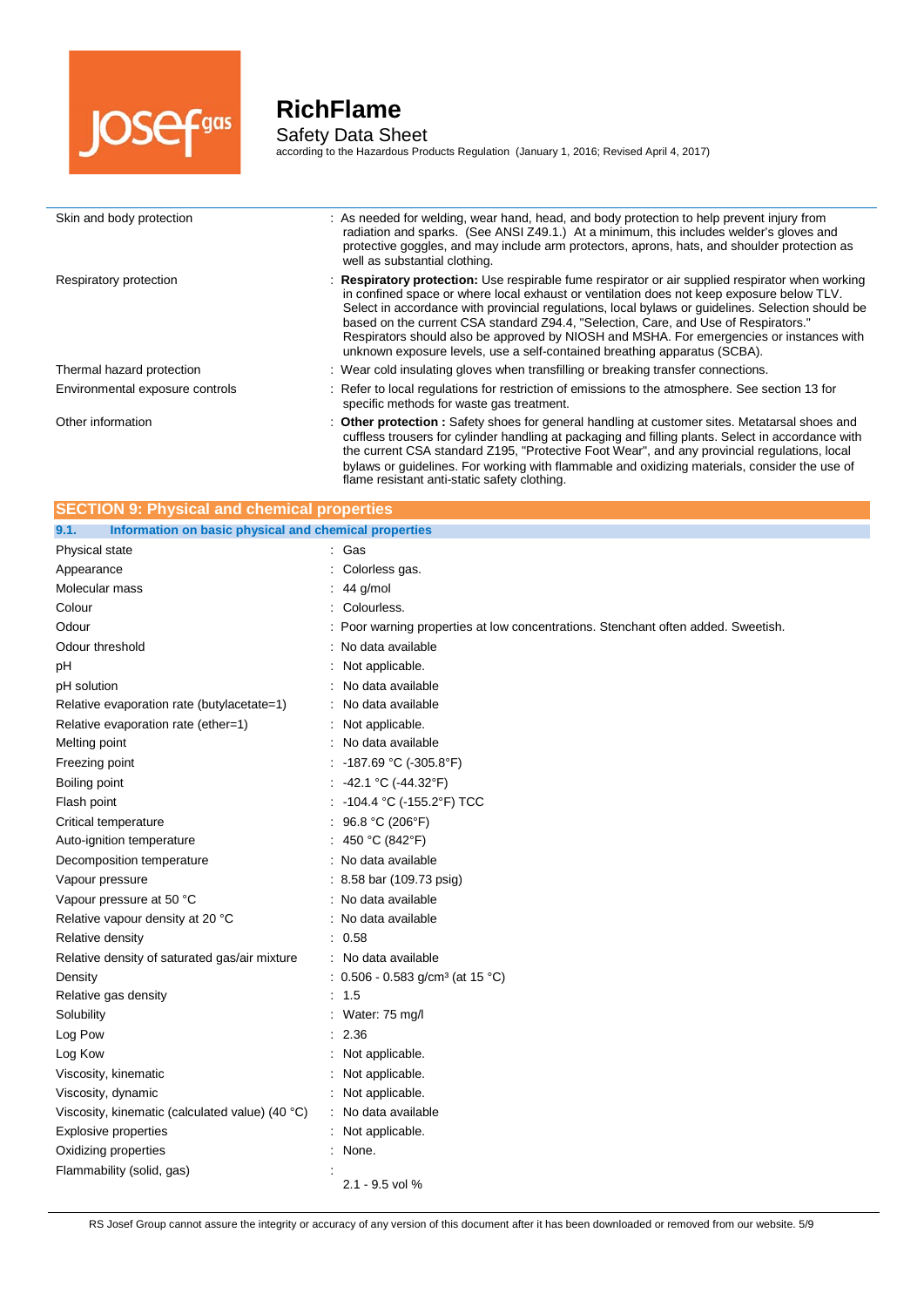

j.

# **RichFlame**

Safety Data Sheet according to the Hazardous Products Regulation (January 1, 2016; Revised April 4, 2017)

| Skin and body protection        | : As needed for welding, wear hand, head, and body protection to help prevent injury from<br>radiation and sparks. (See ANSI Z49.1.) At a minimum, this includes welder's gloves and<br>protective goggles, and may include arm protectors, aprons, hats, and shoulder protection as<br>well as substantial clothing.                                                                                                                                                                                                                                              |
|---------------------------------|--------------------------------------------------------------------------------------------------------------------------------------------------------------------------------------------------------------------------------------------------------------------------------------------------------------------------------------------------------------------------------------------------------------------------------------------------------------------------------------------------------------------------------------------------------------------|
| Respiratory protection          | : Respiratory protection: Use respirable fume respirator or air supplied respirator when working<br>in confined space or where local exhaust or ventilation does not keep exposure below TLV.<br>Select in accordance with provincial regulations, local bylaws or guidelines. Selection should be<br>based on the current CSA standard Z94.4, "Selection, Care, and Use of Respirators."<br>Respirators should also be approved by NIOSH and MSHA. For emergencies or instances with<br>unknown exposure levels, use a self-contained breathing apparatus (SCBA). |
| Thermal hazard protection       | : Wear cold insulating gloves when transfilling or breaking transfer connections.                                                                                                                                                                                                                                                                                                                                                                                                                                                                                  |
| Environmental exposure controls | : Refer to local regulations for restriction of emissions to the atmosphere. See section 13 for<br>specific methods for waste gas treatment.                                                                                                                                                                                                                                                                                                                                                                                                                       |
| Other information               | : Other protection : Safety shoes for general handling at customer sites. Metatarsal shoes and<br>cuffless trousers for cylinder handling at packaging and filling plants. Select in accordance with<br>the current CSA standard Z195, "Protective Foot Wear", and any provincial regulations, local<br>bylaws or quidelines. For working with flammable and oxidizing materials, consider the use of                                                                                                                                                              |

flame resistant anti-static safety clothing.

| <b>SECTION 9: Physical and chemical properties</b>            |                                                                                 |  |  |
|---------------------------------------------------------------|---------------------------------------------------------------------------------|--|--|
| Information on basic physical and chemical properties<br>9.1. |                                                                                 |  |  |
| Physical state                                                | Gas                                                                             |  |  |
| Appearance                                                    | Colorless gas.                                                                  |  |  |
| Molecular mass                                                | 44 g/mol                                                                        |  |  |
| Colour                                                        | Colourless.                                                                     |  |  |
| Odour                                                         | Poor warning properties at low concentrations. Stenchant often added. Sweetish. |  |  |
| Odour threshold                                               | : No data available                                                             |  |  |
| pH                                                            | Not applicable.                                                                 |  |  |
| pH solution                                                   | No data available                                                               |  |  |
| Relative evaporation rate (butylacetate=1)                    | : No data available                                                             |  |  |
| Relative evaporation rate (ether=1)                           | Not applicable.                                                                 |  |  |
| Melting point                                                 | No data available                                                               |  |  |
| Freezing point                                                | -187.69 °C (-305.8°F)                                                           |  |  |
| Boiling point                                                 | -42.1 °C (-44.32°F)                                                             |  |  |
| Flash point                                                   | -104.4 °C (-155.2°F) TCC                                                        |  |  |
| Critical temperature                                          | 96.8 °C (206°F)                                                                 |  |  |
| Auto-ignition temperature                                     | 450 °C (842°F)                                                                  |  |  |
| Decomposition temperature                                     | : No data available                                                             |  |  |
| Vapour pressure                                               | $: 8.58$ bar (109.73 psig)                                                      |  |  |
| Vapour pressure at 50 °C                                      | No data available                                                               |  |  |
| Relative vapour density at 20 °C                              | No data available                                                               |  |  |
| Relative density                                              | 0.58                                                                            |  |  |
| Relative density of saturated gas/air mixture                 | No data available                                                               |  |  |
| Density                                                       | : $0.506 - 0.583$ g/cm <sup>3</sup> (at 15 °C)                                  |  |  |
| Relative gas density                                          | : 1.5                                                                           |  |  |
| Solubility                                                    | Water: 75 mg/l                                                                  |  |  |
| Log Pow                                                       | 2.36                                                                            |  |  |
| Log Kow                                                       | Not applicable.                                                                 |  |  |
| Viscosity, kinematic                                          | Not applicable.                                                                 |  |  |
| Viscosity, dynamic                                            | : Not applicable.                                                               |  |  |
| Viscosity, kinematic (calculated value) (40 °C)               | : No data available                                                             |  |  |
| Explosive properties                                          | : Not applicable.                                                               |  |  |
| Oxidizing properties                                          | None.                                                                           |  |  |
| Flammability (solid, gas)                                     | 2.1 - 9.5 vol %                                                                 |  |  |

RS Josef Group cannot assure the integrity or accuracy of any version of this document after it has been downloaded or removed from our website. 5/9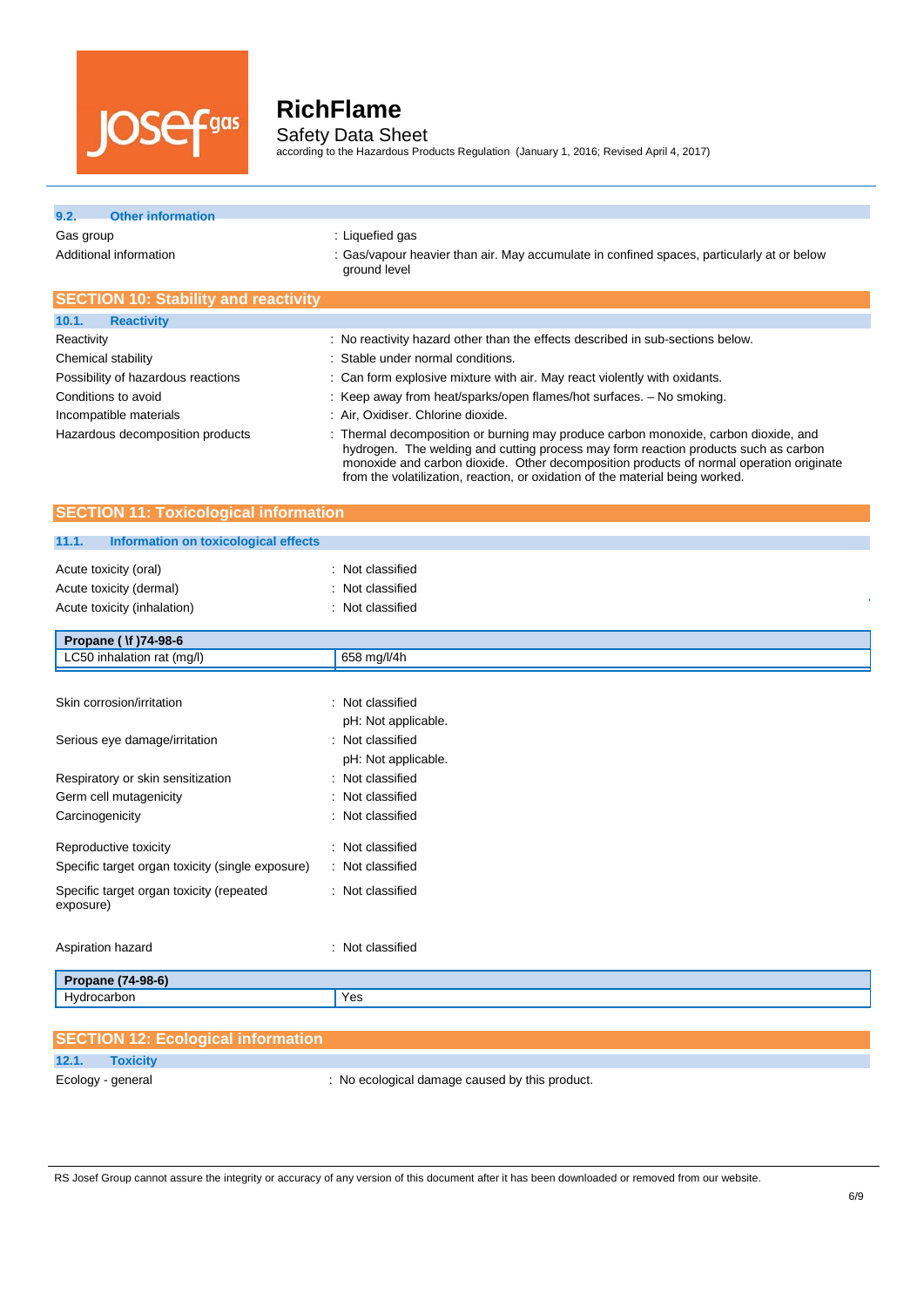

## **RichFlame** Safety Data Sheet

according to the Hazardous Products Regulation (January 1, 2016; Revised April 4, 2017)

## **9.2. Other information**

Gas group **EXECUTE:** Liquefied gas

Additional information **incomation** : Gas/vapour heavier than air. May accumulate in confined spaces, particularly at or below ground level

| <b>SECTION 10: Stability and reactivity</b> |                                                                                                                                                                                                                                                                                                                                                        |
|---------------------------------------------|--------------------------------------------------------------------------------------------------------------------------------------------------------------------------------------------------------------------------------------------------------------------------------------------------------------------------------------------------------|
| 10.1.<br><b>Reactivity</b>                  |                                                                                                                                                                                                                                                                                                                                                        |
| Reactivity                                  | : No reactivity hazard other than the effects described in sub-sections below.                                                                                                                                                                                                                                                                         |
| Chemical stability                          | : Stable under normal conditions.                                                                                                                                                                                                                                                                                                                      |
| Possibility of hazardous reactions          | : Can form explosive mixture with air. May react violently with oxidants.                                                                                                                                                                                                                                                                              |
| Conditions to avoid                         | : Keep away from heat/sparks/open flames/hot surfaces. - No smoking.                                                                                                                                                                                                                                                                                   |
| Incompatible materials                      | : Air, Oxidiser. Chlorine dioxide.                                                                                                                                                                                                                                                                                                                     |
| Hazardous decomposition products            | : Thermal decomposition or burning may produce carbon monoxide, carbon dioxide, and<br>hydrogen. The welding and cutting process may form reaction products such as carbon<br>monoxide and carbon dioxide. Other decomposition products of normal operation originate<br>from the volatilization, reaction, or oxidation of the material being worked. |

### **SECTION 11: Toxicological information**

#### **11.1. Information on toxicological effects**

| 11.1.<br>Information on toxicological effects                                   |                                                          |
|---------------------------------------------------------------------------------|----------------------------------------------------------|
| Acute toxicity (oral)<br>Acute toxicity (dermal)<br>Acute toxicity (inhalation) | : Not classified<br>: Not classified<br>: Not classified |
| Propane ( \f )74-98-6                                                           |                                                          |
| LC50 inhalation rat (mg/l)                                                      | 658 mg/l/4h                                              |
| Skin corrosion/irritation                                                       | : Not classified<br>pH: Not applicable.                  |
| Serious eye damage/irritation                                                   | : Not classified<br>pH: Not applicable.                  |
| Respiratory or skin sensitization                                               | : Not classified                                         |
| Germ cell mutagenicity                                                          | : Not classified                                         |
| Carcinogenicity                                                                 | : Not classified                                         |
| Reproductive toxicity                                                           | : Not classified                                         |
| Specific target organ toxicity (single exposure)                                | : Not classified                                         |
| Specific target organ toxicity (repeated<br>exposure)                           | : Not classified                                         |
| Aspiration hazard                                                               | : Not classified                                         |
| Propane (74-98-6)                                                               |                                                          |
| Hydrocarbon                                                                     | Yes                                                      |

| <b>SECTION 12: Ecological information</b> |                                                |
|-------------------------------------------|------------------------------------------------|
| 12.1.<br>Toxicity                         |                                                |
| Ecology - general                         | : No ecological damage caused by this product. |

RS Josef Group cannot assure the integrity or accuracy of any version of this document after it has been downloaded or removed from our website.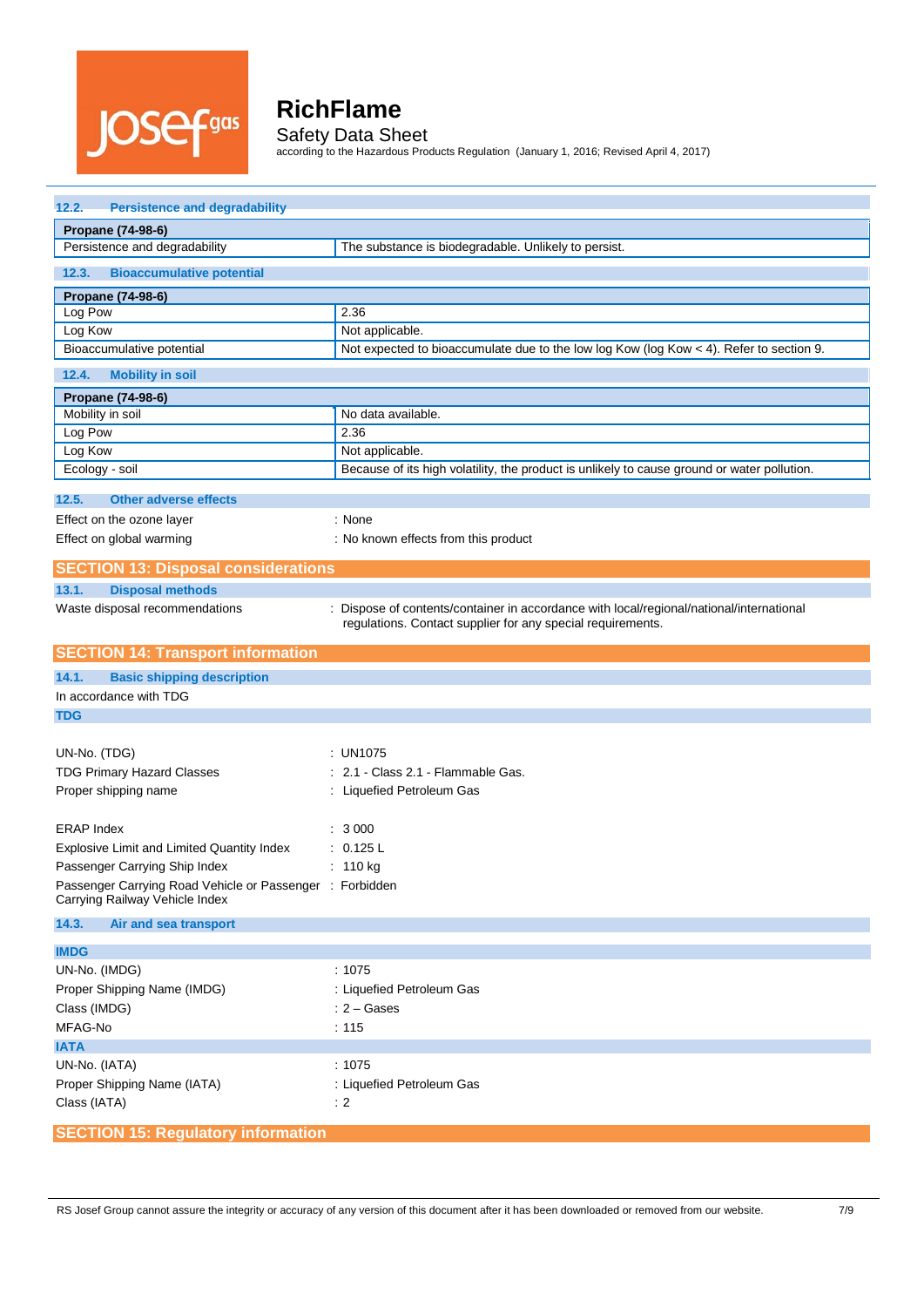

Safety Data Sheet according to the Hazardous Products Regulation (January 1, 2016; Revised April 4, 2017)

| 12.2.<br><b>Persistence and degradability</b>            |                                                                                                                                                         |  |
|----------------------------------------------------------|---------------------------------------------------------------------------------------------------------------------------------------------------------|--|
| Propane (74-98-6)                                        |                                                                                                                                                         |  |
| Persistence and degradability                            | The substance is biodegradable. Unlikely to persist.                                                                                                    |  |
| 12.3.<br><b>Bioaccumulative potential</b>                |                                                                                                                                                         |  |
| Propane (74-98-6)                                        |                                                                                                                                                         |  |
| Log Pow                                                  | 2.36                                                                                                                                                    |  |
| Log Kow                                                  | Not applicable.                                                                                                                                         |  |
| Bioaccumulative potential                                | Not expected to bioaccumulate due to the low log Kow ( $log$ Kow $<$ 4). Refer to section 9.                                                            |  |
| 12.4.<br><b>Mobility in soil</b>                         |                                                                                                                                                         |  |
| Propane (74-98-6)                                        |                                                                                                                                                         |  |
| Mobility in soil                                         | No data available.                                                                                                                                      |  |
| Log Pow                                                  | 2.36                                                                                                                                                    |  |
| Log Kow                                                  | Not applicable.                                                                                                                                         |  |
| Ecology - soil                                           | Because of its high volatility, the product is unlikely to cause ground or water pollution.                                                             |  |
| 12.5.<br><b>Other adverse effects</b>                    |                                                                                                                                                         |  |
| Effect on the ozone layer                                | : None                                                                                                                                                  |  |
| Effect on global warming                                 | : No known effects from this product                                                                                                                    |  |
| <b>SECTION 13: Disposal considerations</b>               |                                                                                                                                                         |  |
| 13.1.<br><b>Disposal methods</b>                         |                                                                                                                                                         |  |
| Waste disposal recommendations                           | : Dispose of contents/container in accordance with local/regional/national/international<br>regulations. Contact supplier for any special requirements. |  |
| <b>SECTION 14: Transport information</b>                 |                                                                                                                                                         |  |
| 14.1.<br><b>Basic shipping description</b>               |                                                                                                                                                         |  |
| In accordance with TDG                                   |                                                                                                                                                         |  |
| <b>TDG</b>                                               |                                                                                                                                                         |  |
|                                                          |                                                                                                                                                         |  |
| UN-No. (TDG)                                             | : UN1075                                                                                                                                                |  |
| <b>TDG Primary Hazard Classes</b>                        | : 2.1 - Class 2.1 - Flammable Gas.                                                                                                                      |  |
| Proper shipping name                                     | : Liquefied Petroleum Gas                                                                                                                               |  |
| <b>ERAP Index</b>                                        | : 3000                                                                                                                                                  |  |
| Explosive Limit and Limited Quantity Index               | : 0.125 L                                                                                                                                               |  |
| Passenger Carrying Ship Index                            | : 110 kg                                                                                                                                                |  |
| Passenger Carrying Road Vehicle or Passenger : Forbidden |                                                                                                                                                         |  |
| Carrying Railway Vehicle Index                           |                                                                                                                                                         |  |
| 14.3.<br>Air and sea transport                           |                                                                                                                                                         |  |
| <b>IMDG</b>                                              |                                                                                                                                                         |  |
| UN-No. (IMDG)                                            | : 1075                                                                                                                                                  |  |
| Proper Shipping Name (IMDG)                              | : Liquefied Petroleum Gas                                                                                                                               |  |
| Class (IMDG)                                             | $: 2 - \text{Gases}$                                                                                                                                    |  |
| MFAG-No                                                  | : 115                                                                                                                                                   |  |
| <b>IATA</b>                                              |                                                                                                                                                         |  |
| UN-No. (IATA)                                            | :1075                                                                                                                                                   |  |
| Proper Shipping Name (IATA)                              | : Liquefied Petroleum Gas                                                                                                                               |  |
| Class (IATA)                                             | $\div$ 2                                                                                                                                                |  |
| <b>SECTION 15: Regulatory information</b>                |                                                                                                                                                         |  |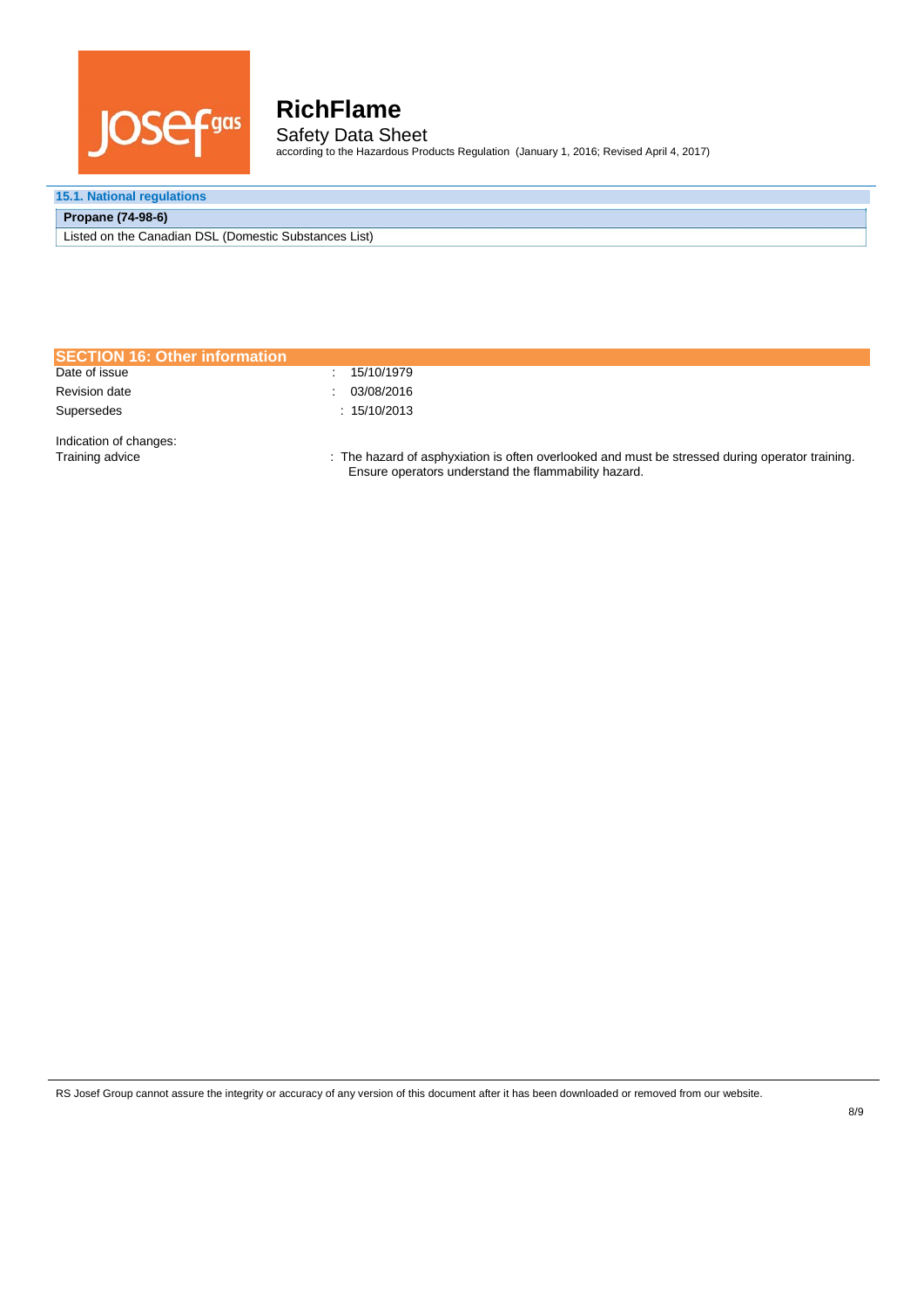

## **RichFlame** Safety Data Sheet

according to the Hazardous Products Regulation (January 1, 2016; Revised April 4, 2017)

### **15.1. National regulations**

#### **Propane (74-98-6)**

Listed on the Canadian DSL (Domestic Substances List)

| <b>SECTION 16: Other information</b>      |                                                                                                                                                         |
|-------------------------------------------|---------------------------------------------------------------------------------------------------------------------------------------------------------|
| Date of issue                             | 15/10/1979                                                                                                                                              |
| <b>Revision date</b>                      | 03/08/2016                                                                                                                                              |
| Supersedes                                | : 15/10/2013                                                                                                                                            |
| Indication of changes:<br>Training advice | : The hazard of asphyxiation is often overlooked and must be stressed during operator training.<br>Ensure operators understand the flammability hazard. |

RS Josef Group cannot assure the integrity or accuracy of any version of this document after it has been downloaded or removed from our website.